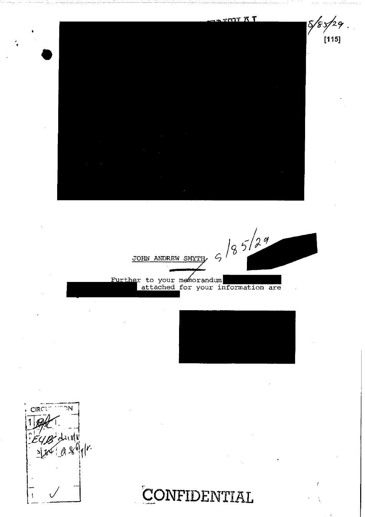$T^*$   $T^*$  $8/8$ 5/ e de JOHN ANDREW SMYTH  $6\frac{18529}{29}$ Further to your memorandum<br>attached for your information are

 $\overline{2}$  G

 $[115]$ 

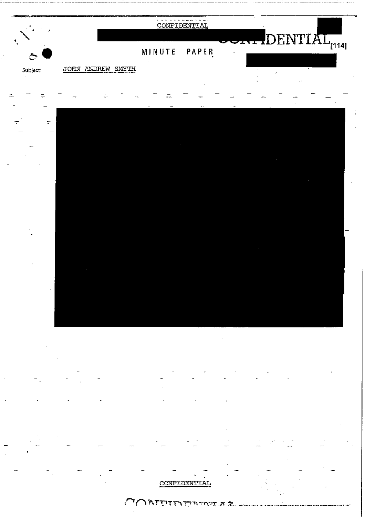

م ؟  $\mathcal{L}$ אַ אַנועט שויד אַ דור אַ דורך אַ דורך א

€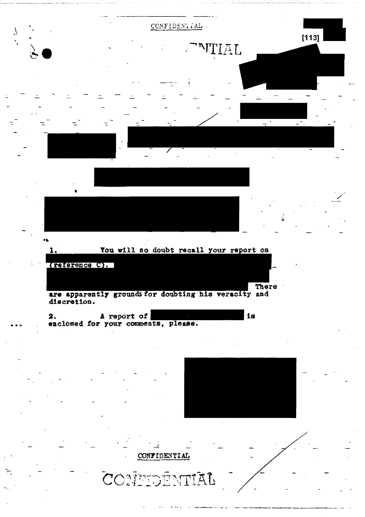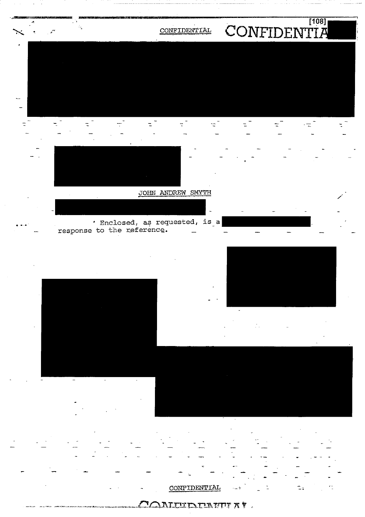

**AMEEDERTE AT.**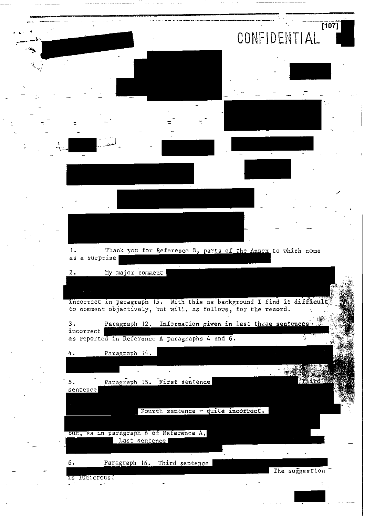|                             |                                                                                                                                          | $\overline{[107]}$<br>CONFIDENTIAL |
|-----------------------------|------------------------------------------------------------------------------------------------------------------------------------------|------------------------------------|
| $\mathcal{L}_{\mathcal{A}}$ |                                                                                                                                          |                                    |
|                             |                                                                                                                                          |                                    |
|                             |                                                                                                                                          |                                    |
|                             |                                                                                                                                          |                                    |
|                             |                                                                                                                                          |                                    |
|                             |                                                                                                                                          |                                    |
|                             |                                                                                                                                          |                                    |
|                             |                                                                                                                                          |                                    |
|                             |                                                                                                                                          |                                    |
|                             |                                                                                                                                          |                                    |
|                             |                                                                                                                                          |                                    |
|                             | Thank you for Reference B, parts of the Annex to which come<br>Ι.                                                                        |                                    |
|                             | surprise<br>as<br>a                                                                                                                      |                                    |
|                             | My major comment<br>2.                                                                                                                   |                                    |
|                             |                                                                                                                                          |                                    |
|                             | incorrect in paragraph 15. With this as background I find it difficult.<br>to comment objectively, but will, as follows, for the record. |                                    |
|                             | Paragraph 12. Information given in last three sentences<br>3.<br>incorrect                                                               |                                    |
|                             | as reported in Reference A paragraphs 4 and 6.                                                                                           |                                    |
|                             | Paragraph 14.<br>4.                                                                                                                      |                                    |
|                             |                                                                                                                                          |                                    |
|                             | Paragraph 15. First sentence<br>٠.                                                                                                       | Third                              |
|                             | sentence                                                                                                                                 |                                    |
|                             | Fourth sentence - quite incorrect,                                                                                                       |                                    |
|                             |                                                                                                                                          |                                    |
|                             | but, as in paragraph 6 of Reference A,<br>Last sentence                                                                                  |                                    |
|                             |                                                                                                                                          |                                    |
|                             | 6.<br>Paragraph 16. Third sentence                                                                                                       |                                    |
|                             | 1s ludicrous!                                                                                                                            | The suggestion                     |
|                             |                                                                                                                                          |                                    |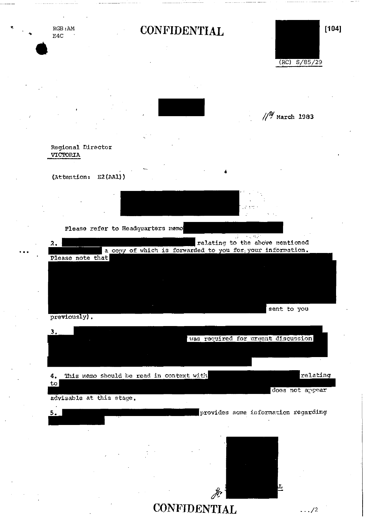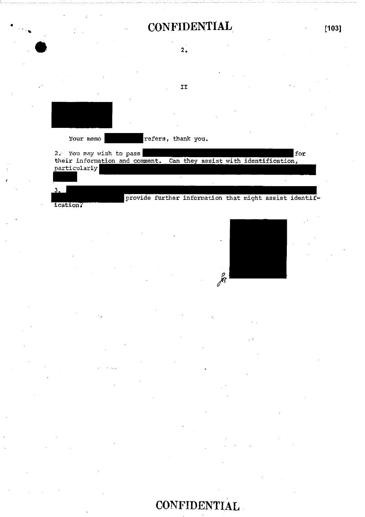| <b>CONFIDENTIAL</b>                                                                                               | $[103]$ |
|-------------------------------------------------------------------------------------------------------------------|---------|
| 2.                                                                                                                |         |
| IJ                                                                                                                |         |
|                                                                                                                   |         |
| Your memo<br>refers, thank you.                                                                                   |         |
| 2. You may wish to pass<br>Can they assist with identification,<br>their information and comment.<br>particularly | for     |
| 3.<br>provide further information that might assist identif-<br><b>ication?</b>                                   |         |

for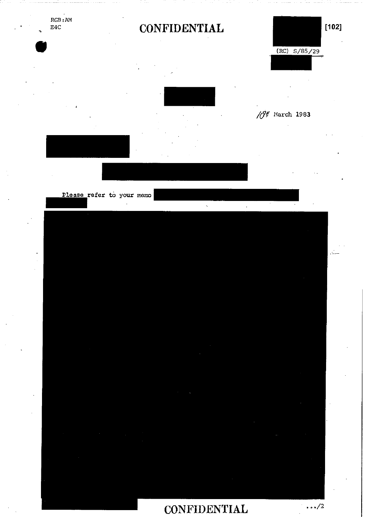RGB:AM<br>E4C

# CONFIDENTIAL [102]



 $\tilde{\mathbf{r}}_k$ 



 $\sqrt{\mathcal{O}^{\ell}}$  March 1983

Please refer to your memo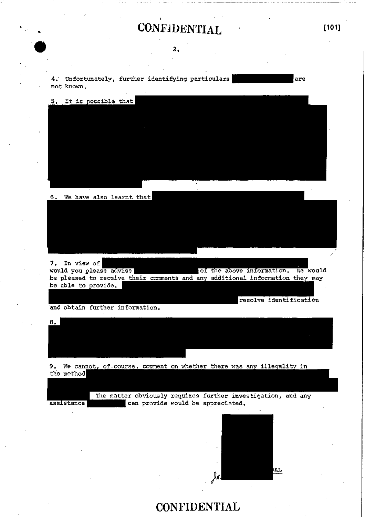## CONFIDENTIAL [101]

#### 2.

4. Unfortunately, further identifying particulars are not known.

5. It is possible that

6. We have also learnt that

7. In view of<br>would you please advise | of the above information. We would be pleased to receive their comments and any additional information they may be able to provide.

and obtain further information.

 $8 -$ 

9. We cannot, of course, comment on whether there was any illegality in the method

The matter obviously requires further investigation, and any assistance can provide would be appreciated.



resolve identification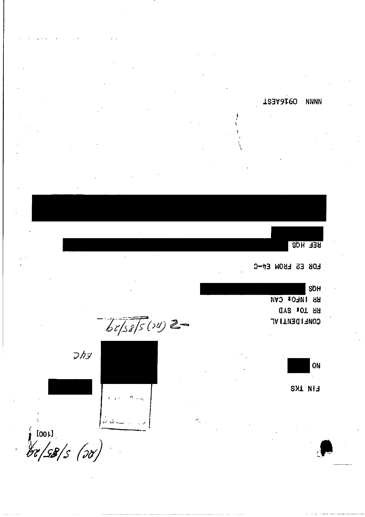**T23A6120 NNNN** 

**REF HQS** 

**EOR ES EBON EN-C** 

SOH RR INFO: CAN **QY2 10T 9R CONETDEMII VF** 

 $68/58/5(20)$ 



 $\Delta$ 

ON

**EIN IKS** 

 $rac{1}{60}$   $\frac{10011}{60}$   $\frac{1}{58}$   $\frac{1}{50}$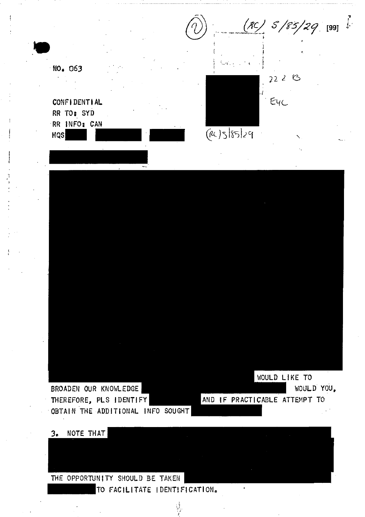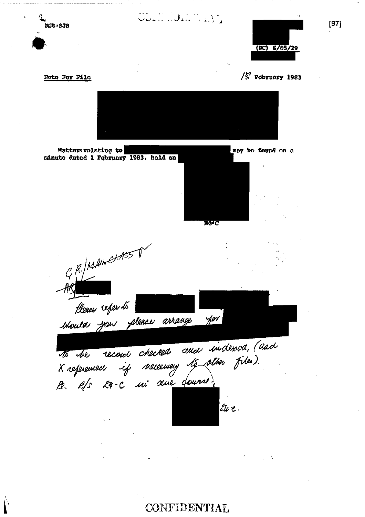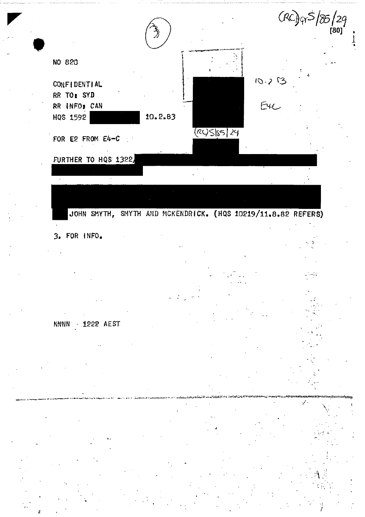

JOHN SMYTH, SMYTH AND MCKENDRICK. (HQS 10219/11.8.82 REFERS)

### 3. FOR INFO.

### NNNN 1222 AEST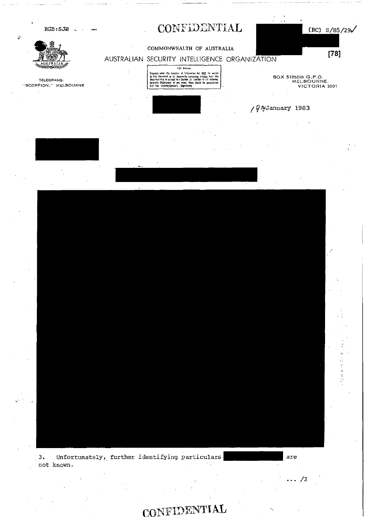RGB:SJB .

AUSTRALIA

TELEGRAMS: "SCORPION," MELBOURNE

## CONFIDENTIAL



#### COMMONWEALTH OF AUSTRALIA

AUSTRALIAN SECURITY INTELLIGENCE ORGANIZATION

#### FOI Nation

Requests under the Erection of Internation Act 1822 for access<br>to this discussion of the concentration Act 1822 for access<br>to the concentration of a concentration of the discussion<br>discussion of the section is followed by





BOX 5105BB G.P.O.<br>MELBOURNE, VICTORIA 3001

### / *Q<sup>n</sup>y*January 1983

Unfortunately, further identifying particulars  $3.$ not known.

are

 $\cdots /2$ 

#### NTIAL CONFIDE

Ú

 $[78]$ 

 $\frac{1}{2}$ ż,  $\zeta$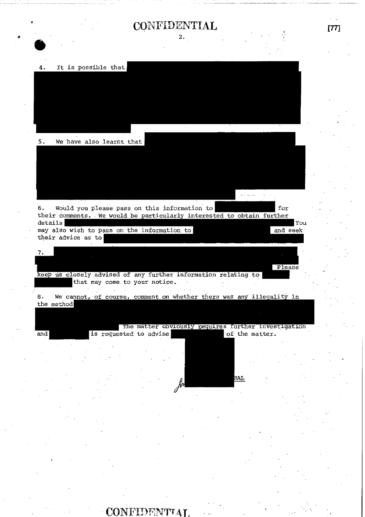## CONFIDENTIAL [77]

2.

It is possible that 4.



 $5.$ We have also learnt that

6. Would you please pass on this information to for their comments. We would be particularly interested to obtain further details You may also wish to pass on the information to and seek

their advice as to 7.

Please keep us closely advised of any further information relating to that may come to your notice.

8. We cannot, of course, comment on whether there was any illegality in the method

and

The matter obviously requires further investigation<br>sted to advise is requested to advise.

RAT.

CONFID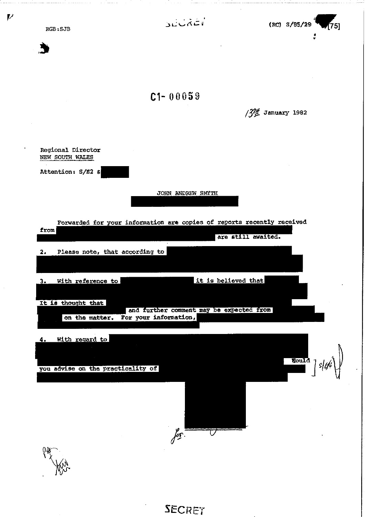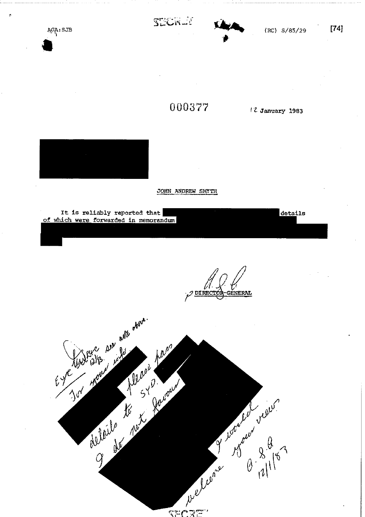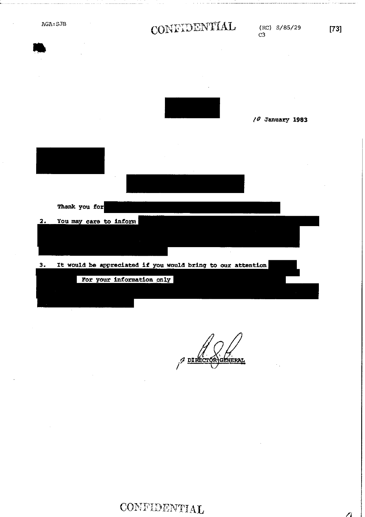AGA: SJB

# CONFIDENTIAL

 $(RC) S/85/29$  $C3$ 

/*O* January 1983 Thank you for  $2.$ You may care to inform  $3.$ It would be appreciated if you would bring to our attention For your information only

neral  $\not\sim$  DIRE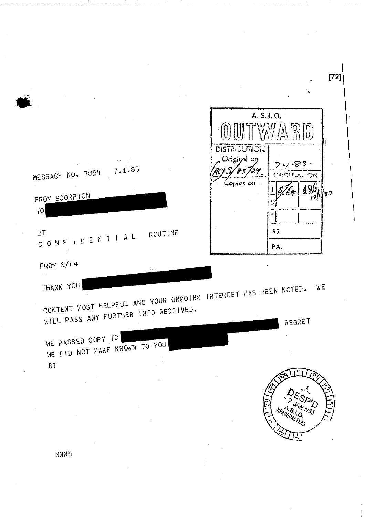|                                                                                                                     |         |                                                                           | $[72]$                 |
|---------------------------------------------------------------------------------------------------------------------|---------|---------------------------------------------------------------------------|------------------------|
|                                                                                                                     |         |                                                                           | A.S.I.O.               |
| MESSAGE NO. 7894 7.1.83                                                                                             |         | <b>DISTRICUTION</b><br>Original on<br>$\mathscr{H},$<br>ิรร์<br>Coptes on | 7.7.83.<br>CIPOULATION |
| FROM SCORPION<br>TO                                                                                                 |         |                                                                           | A 96<br>$\tau_{\rm f}$ |
| B <sub>T</sub><br>CONFIDENTIAL                                                                                      | ROUTINE |                                                                           | RS.<br>PA.             |
| FROM S/E4                                                                                                           |         |                                                                           |                        |
| THANK YOU<br>CONTENT MOST HELPFUL AND YOUR ONGOING INTEREST HAS BEEN NOTED.<br>WILL PASS ANY FURTHER INFO RECEIVED. |         |                                                                           | WE<br>REGRET           |
| WE PASSED COPY TO<br>DID NOT MAKE KNOWN TO YOU<br>WE                                                                |         |                                                                           |                        |
| B <sub>T</sub>                                                                                                      |         |                                                                           |                        |
|                                                                                                                     |         |                                                                           | HEADQUARTERS           |
| NNNN                                                                                                                |         |                                                                           |                        |
|                                                                                                                     |         |                                                                           |                        |

وأستعملت والمستعمل والمستعمل والمتعارف والمتعارف والمتعارف والمتعارف والمتعارف والمتعارف والمتعارف والمتعارف

 $\label{eq:2.1} \frac{1}{\sqrt{2}}\left(\frac{1}{\sqrt{2}}\right)^{2} \left(\frac{1}{\sqrt{2}}\right)^{2} \left(\frac{1}{\sqrt{2}}\right)^{2} \left(\frac{1}{\sqrt{2}}\right)^{2} \left(\frac{1}{\sqrt{2}}\right)^{2} \left(\frac{1}{\sqrt{2}}\right)^{2} \left(\frac{1}{\sqrt{2}}\right)^{2} \left(\frac{1}{\sqrt{2}}\right)^{2} \left(\frac{1}{\sqrt{2}}\right)^{2} \left(\frac{1}{\sqrt{2}}\right)^{2} \left(\frac{1}{\sqrt{2}}\right)^{2} \left(\$ 

 $\mathbf{I}$ 

 $\begin{array}{c} \bullet \\ \bullet \\ \bullet \\ \bullet \end{array}$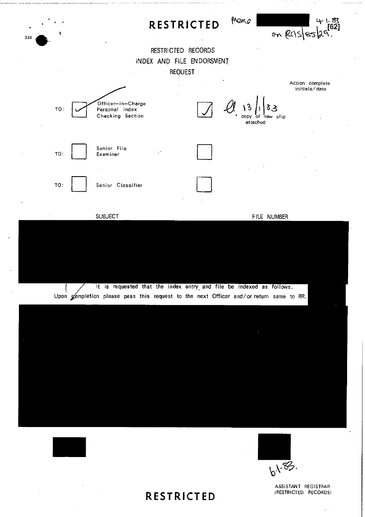

(RESTRICTED RECORDS) **RESTRICTED** 

ASSISTANT REGISTRAR<br>(RESTRICTED RECORDS)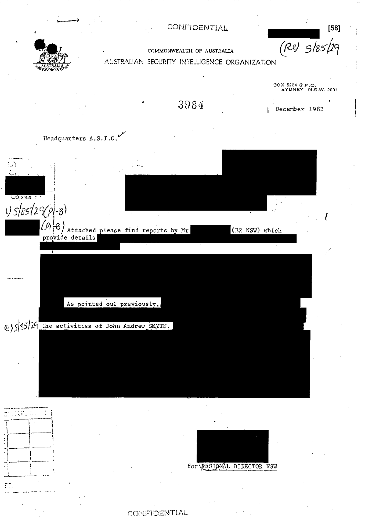**[58]**  *(f2i2)* 5/85" 9



■

## COMMONWEALTH OF AUSTRALIA AUSTRALIAN SECURITY INTELLIGENCE ORGANIZATION



 $\mathbb{C}^2$  . • , •

ŗŗ,

for REGIONAL DIRECTOR NSW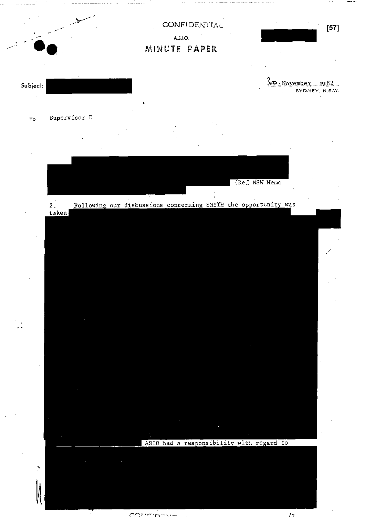

 $20$  November 1982

SYDNEY, N.S.W.

Subject:

Ń,

Supervisor E  $T<sub>O</sub>$ 

(Ref NSW Memo

Following our discussions concerning SMYTH the opportunity was  $\overline{2}$ .  $taken$ 

ASIO had a responsibility with regard to

 $\overline{12}$ 

تستشا سالا وتوسك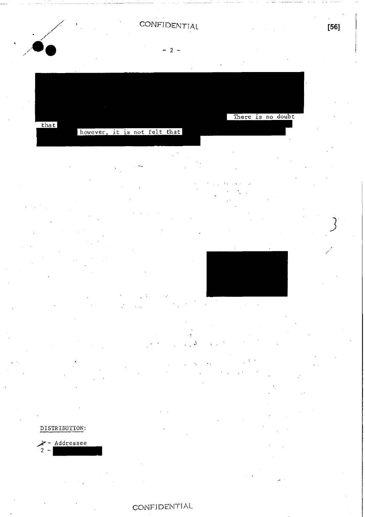$-2 -$ 

There is no doubt that however, it is not felt that

### DISTRIBUTION:

#### Addressee  $\overline{2}$

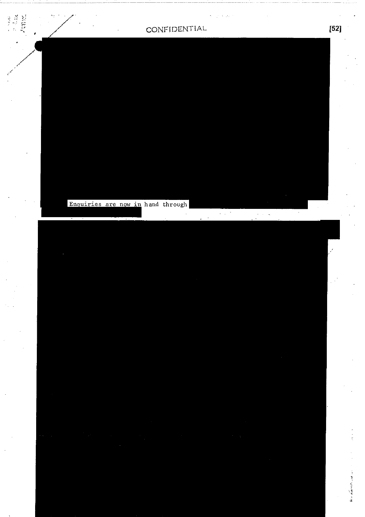$\sqrt{\frac{1}{2}}$ 

 $\mathcal{L}_{\rm{max}}$ 

 $\frac{1}{2}$  ,  $\frac{1}{2}$ 

Enquiries are now in hand through

**THE SEA** 

 $\bar{a}$ 

**Contract Contract Contract**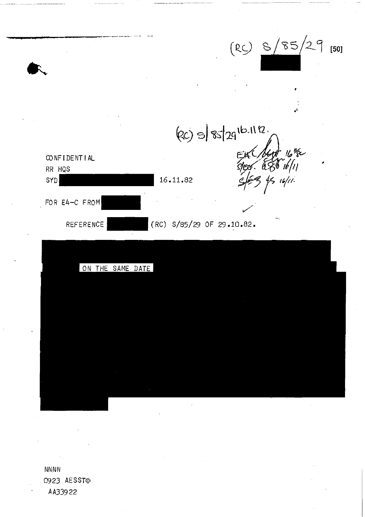

NNNN 0923 AESST • AA33922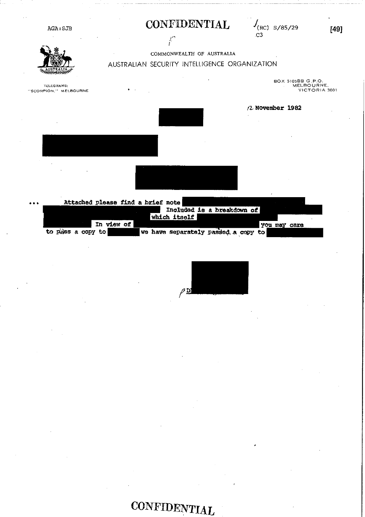

|                   | Attached please find a brief note |              |                                     |              |  |
|-------------------|-----------------------------------|--------------|-------------------------------------|--------------|--|
|                   |                                   |              | Included is a breakdown of          |              |  |
|                   |                                   | which itself |                                     |              |  |
|                   | In view of                        |              |                                     | you may care |  |
| to pass a copy to |                                   |              | we have separately passed a copy to |              |  |

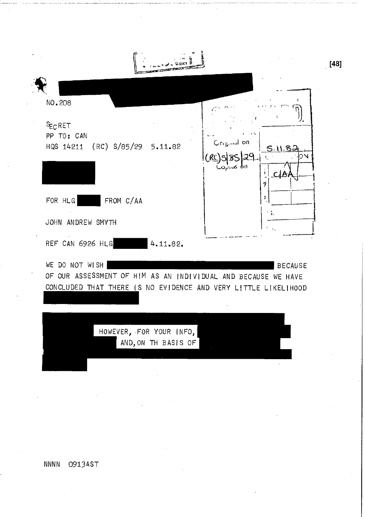| NO.208                               |                                                                                                                                                |          |                                  |                |
|--------------------------------------|------------------------------------------------------------------------------------------------------------------------------------------------|----------|----------------------------------|----------------|
| $E_C$ RET<br>PP TO: CAN<br>HQS 14211 | (RC) S/85/29                                                                                                                                   | 5.11.82  | Criguial on<br>اال کەنزەپ<br>СĮf | 5.11.85<br>УĆ  |
| FOR HLG                              | FROM C/AA<br>JOHN ANDREW SMYTH                                                                                                                 |          | 9<br>ĭ<br>5.                     |                |
|                                      | REF CAN 6926 HLG                                                                                                                               | 4.11.82. |                                  |                |
| WE                                   | DO NOT WISH<br>OF OUR ASSESSMENT OF HIM AS AN INDIVIDUAL AND BECAUSE WE HAVE<br>CONCLUDED THAT THERE IS NO EVIDENCE AND VERY LITTLE LIKELIHOOD |          |                                  | <b>BECAUSE</b> |
|                                      | HOWEVER, FOR YOUR INFO,<br>AND, ON TH BASIS OF                                                                                                 |          |                                  |                |
|                                      |                                                                                                                                                |          |                                  |                |
|                                      |                                                                                                                                                |          |                                  |                |

**NNNN** 0913AST  $[48]$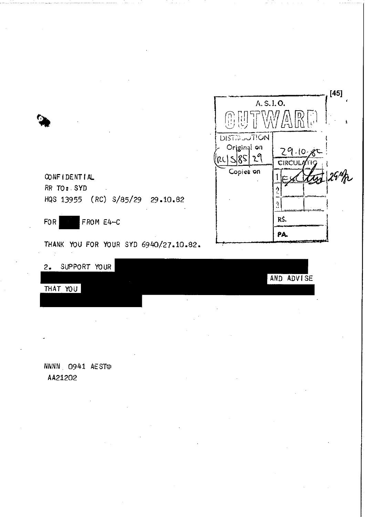| A.S.I.O.<br><b>9世工人</b><br><b>DISTRUUTION</b> |         |
|-----------------------------------------------|---------|
|                                               |         |
|                                               |         |
|                                               |         |
| Original on<br>$29.10 - 85$                   |         |
| PC S 85 29<br><b>CIRCULATIO</b>               |         |
| Copies on                                     | st 29th |
|                                               |         |
| ĝ<br>11 YO 200 AM                             |         |
| Ą                                             |         |
| RS.                                           |         |
| PA.                                           |         |

CONFIDENTIAL RR TO: SYD HQS 13955 (RC) S/85/29 29.10.82

FROM E4-C **FOR** 

 $\overline{\mathcal{L}}$ 

THANK YOU FOR YOUR SYD 6940/27.10.82.

| 2.          | SUPPORT YOUR |  |  |        |  |            |
|-------------|--------------|--|--|--------|--|------------|
|             |              |  |  |        |  | AND ADVISE |
| <b>THAT</b> | YOU          |  |  |        |  |            |
|             |              |  |  |        |  |            |
|             |              |  |  | $\sim$ |  |            |

NNNN 0941 AEST

AA21202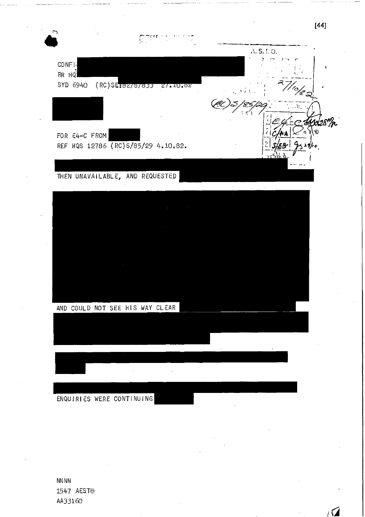

**NNNN** 1547 AEST AA33160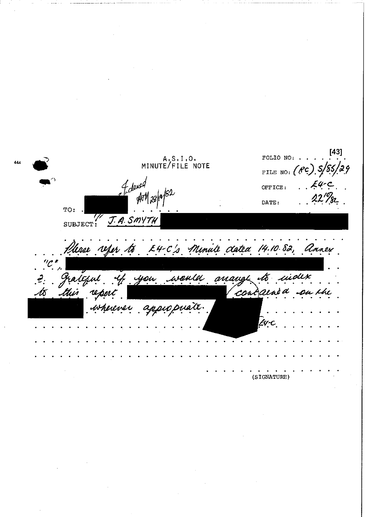$\left[ 43\right]$ A.S.I.O.<br>MINUTE/FILE NOTE FOLIO NO: . FILE NO:  $($ PC)  $S/85$ Fdexed<br>11 AM 29/19 OFFICE: DATE: TO: SUBJECT: J.A. SMYTH Please reper to K4-C's Minute dated 14.10.82, Annex gran anaugh would uidex v to you cond  $\mathcal{Q}$ Lad ou the reper isherener appropriate. Ev-C (SIGNATURE)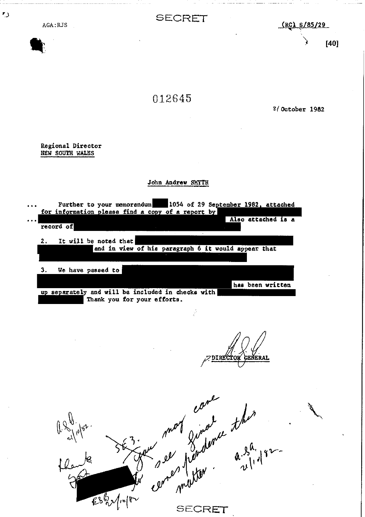| AGA:RJS                                                                         | SECRET                                                                                                                                                                                                                                                                    | $(RC)$ $S/85/29$                       |
|---------------------------------------------------------------------------------|---------------------------------------------------------------------------------------------------------------------------------------------------------------------------------------------------------------------------------------------------------------------------|----------------------------------------|
|                                                                                 |                                                                                                                                                                                                                                                                           | [40]                                   |
|                                                                                 | 012645                                                                                                                                                                                                                                                                    | $2/$ October 1982                      |
| Regional Director<br>NEW SOUTH WALES                                            |                                                                                                                                                                                                                                                                           |                                        |
|                                                                                 | John Andrew SMYTH                                                                                                                                                                                                                                                         |                                        |
| $\cdots$<br>record of<br>2.<br>It will be noted that<br>3.<br>We have passed to | Further to your memorandum 1054 of 29 September 1982, attached<br>for information please find a copy of a report by<br>$\cdot$<br>and in view of his paragraph 6 it would appear that<br>up separately and will be included in checks with<br>Thank you for your efforts. | Also attached is a<br>has been written |
|                                                                                 | $\frac{1}{2}$<br><b>DIRECTO</b>                                                                                                                                                                                                                                           | <b>GENERAI</b>                         |
| $\#$                                                                            | ever mot ginderne the<br>636/1018<br>SECRET                                                                                                                                                                                                                               |                                        |

SECRET

 $\mathbf{r}_{\mathcal{J}}$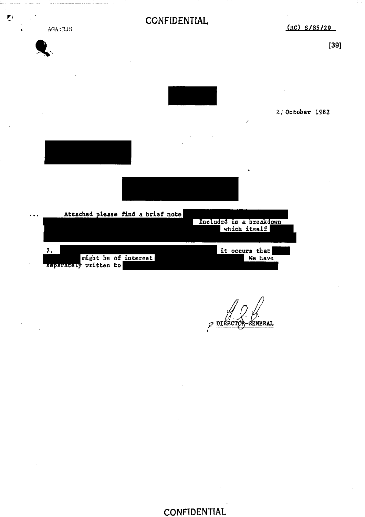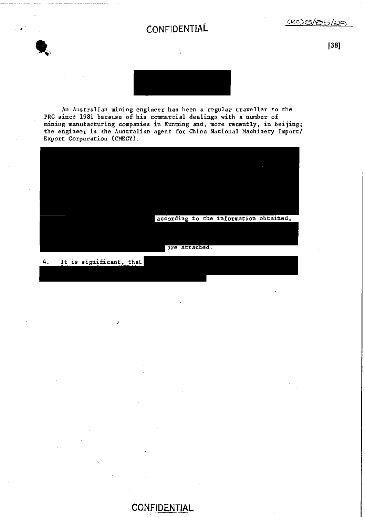

 $(csc)$ 

**[38]** 



An Australian mining engineer has been a regular traveller to the PRC since 1981 because of his commercial dealings with a number of mining manufacturing companies in Kunming and, more recently, in Beijing; the engineer is the Australian agent for China National Machinery Import/ Export Corporation (CMECY).



#### 4. It is significant, that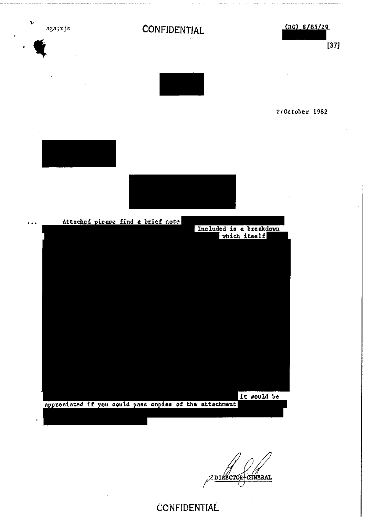

2/October 1982

 $(RC)$  8/85/29

 $[37]$ 



it would be appreciated if you could pass copies of the attachment

**CRNERAL**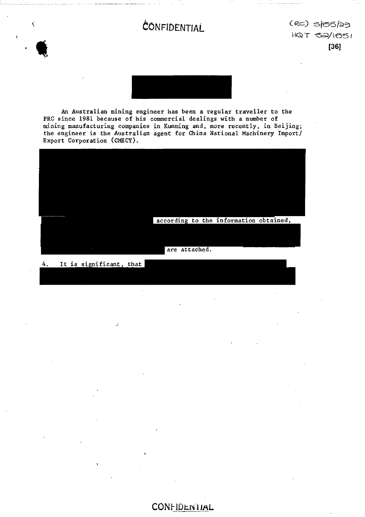$(RC)$  s/05/29 HQT 52/1651  $[36]$ 



An Australian mining engineer has been a regular traveller to the PRC since 1981 because of his commercial dealings with a number of mining manufacturing companies in Kunming and, more recently, in Beijing; the engineer is the Australian agent for China National Machinery Import/ Export Corporation (CMECY).



It is significant, that 4.

 $\hat{\mathbf{v}}$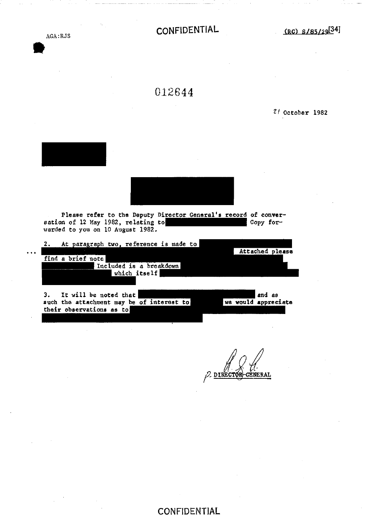AGA:RJS  $\bullet$ 

**CONFIDENTIAL (RC)** s/85/29<sup>[34]</sup>

012644

**Zl October 1982** 



**their observations as to** 

**GÉNERAL DIRECTOR**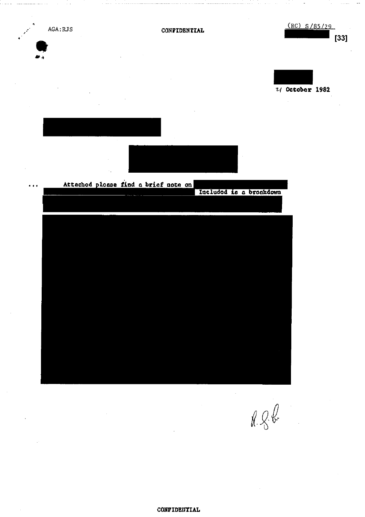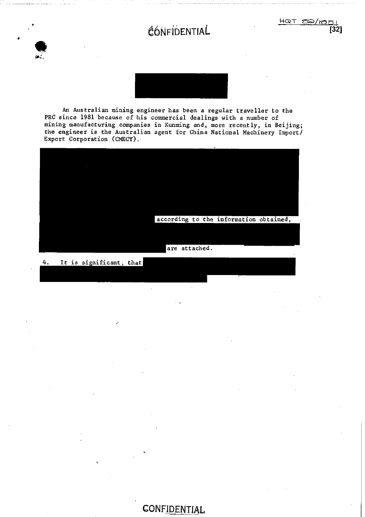





An Australian mining engineer has been a regular traveller to the PRC since 1981 because of his commercial dealings with a number of mining manufacturing companies in Kunming and, more recently, in Beijing; the engineer is the Australian agent for China National Machinery Import/ Export Corporation (CMECY).



4. It is significant, that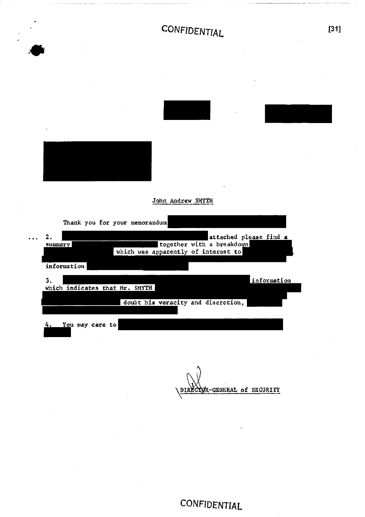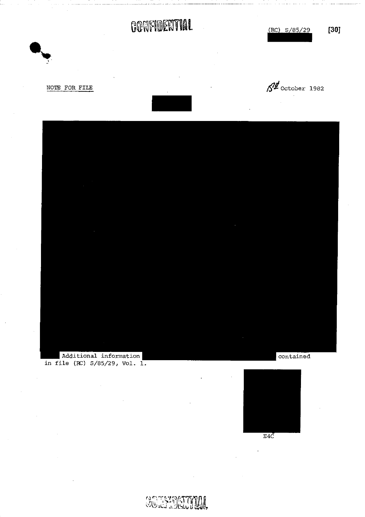# **CONFIDENTIAL** (RC) S/85/29 **[30]**













**SOTSIDECTION**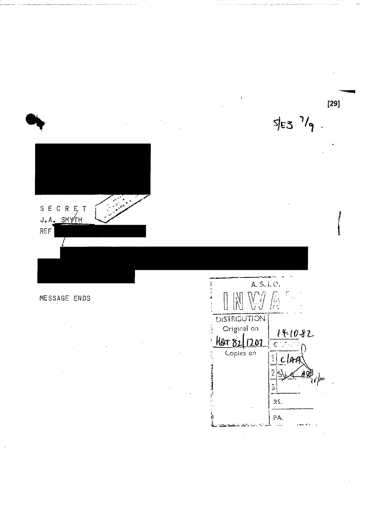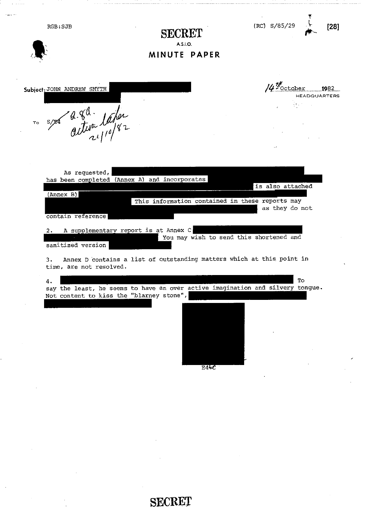| RGB: SJB                                                                         | SECRET<br>A.S.I.O.<br>MINUTE PAPER                                                                                                                                                                                | (RC) S/85/29<br>[28]                                                          |
|----------------------------------------------------------------------------------|-------------------------------------------------------------------------------------------------------------------------------------------------------------------------------------------------------------------|-------------------------------------------------------------------------------|
| Subject: JOHN ANDREW SMYTH<br>TO S/29 activa later                               |                                                                                                                                                                                                                   | $14\frac{7}{2}$ october 1982<br><b>HEADQUARTERS</b>                           |
| As requested,<br>(Annex B)<br>contain reference<br>2.<br>sanitized version<br>3. | has been completed (Annex A) and incorporates<br>This information contained in these reports may<br>A supplementary report is at Annex C<br>Annex D contains a list of outstanding matters which at this point in | is also attached<br>as they do not<br>You may wish to send this shortened and |
| time, are not resolved.<br>4.                                                    | say the least, he seems to have an over active imagination and silvery tongue.<br>Not content to kiss the "blarney stone",<br>E4C                                                                                 | To                                                                            |

SECRET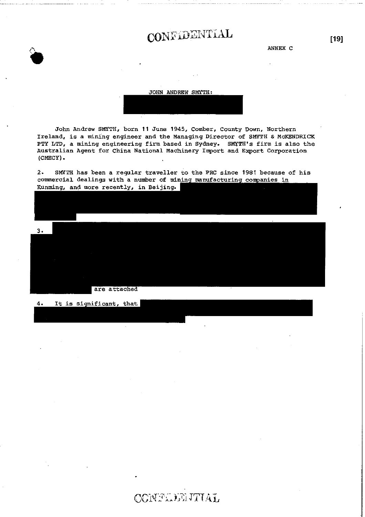ANNEX C

JOHN ANDREW SMYTH:

John Andrew SMYTH, born 11 June 1945, Comber, County Down, Northern Ireland, is a mining engineer and the Managing Director of SMYTH & MCKENDRICK PTY LTD, a mining engineering firm based in Sydney. SMYTH's firm is also the Australian Agent for China National Machinery Import and Export Corporation  $(CMECY)$ .

SMYTH has been a regular traveller to the PRC since 1981 because of his  $2$ commercial dealings with a number of mining manufacturing companies in Kunming, and more recently, in Beijing.



 $4.$ It is significant, that  $[19]$ 

CONFEDERITIAL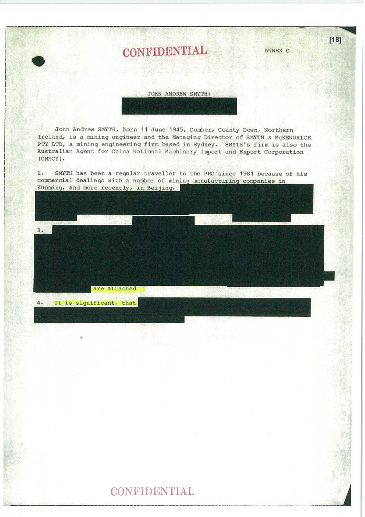# CONFIDENTIAL ANNEX C

#### JOHN ANDREW SMYTH:

John Andrew SMITH, born 11 June 1945, Comber, County Down, Northern Ireland, is a mining engineer and the Managing Director of SMITH & McXENDRICK PTY LTD, a mining engineering firm based in Sydney. SMYTH's firm is also the Australian Agent for China National Machinery Import and Export Corporation (CMECY).

2. SMITH has been a regular traveller to the PRC since 1981 because of his commercial dealings with a number of mining manufacturing companies in Kunming, and more recently, in Beijing.



4. It is significant, that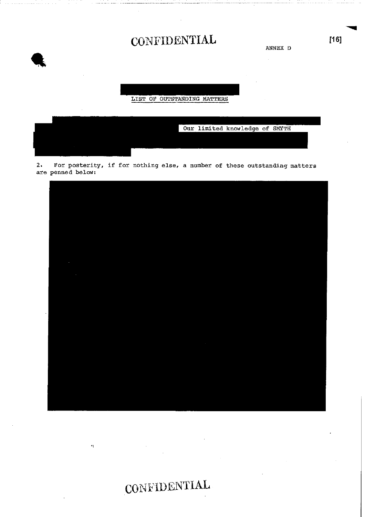ANNEX D

LIST OF OUTSTANDING MATTERS



2. For posterity, if for nothing else, a number of these outstanding matters are penned below:



.CONFIDENTIAL

 $\mathbf{r}_\mathrm{L}$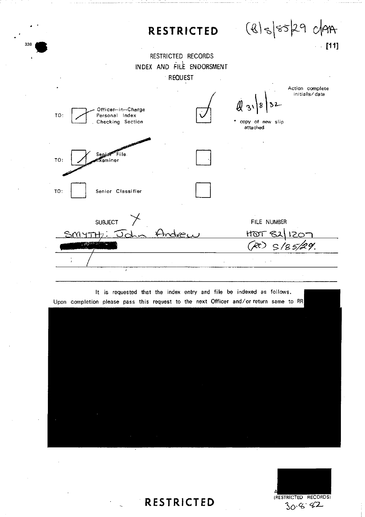



**RESTRICTED (RESTRICTED RECORDS)**  $30.6.42$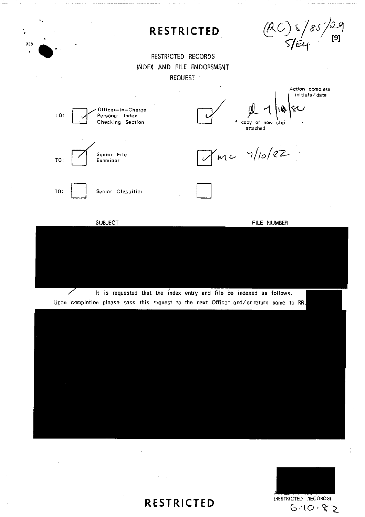

It is requested that the index entry and file be indexed as follows.

SUBJECT FILE NUMBER

TO: | | Senior Classifier

Upon completion please pass this request to the next Officer and/or return same to RR.

**RESTRICTED (RESTRICTED RECORDS)**  $G-10-82$